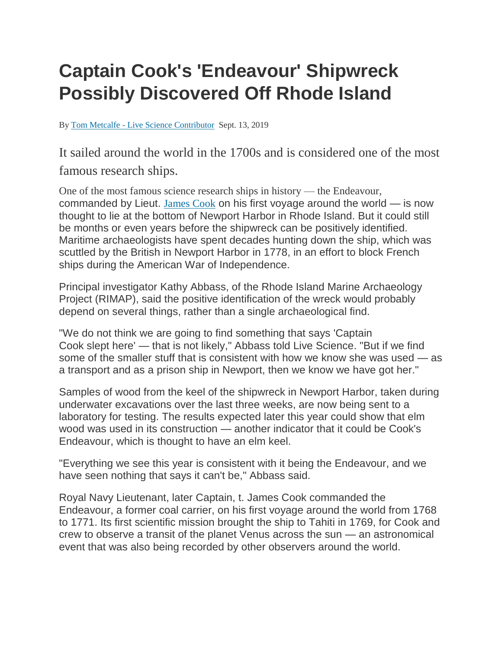## **Captain Cook's 'Endeavour' Shipwreck Possibly Discovered Off Rhode Island**

By Tom Metcalfe - [Live Science Contributor](https://www.livescience.com/author/tom-metcalfe) Sept. 13, 2019

It sailed around the world in the 1700s and is considered one of the most famous research ships.

One of the most famous science research ships in history — the Endeavour, commanded by Lieut. [James](https://www.livescience.com/2656-captain-cook-changed-world.html) Cook on his first voyage around the world — is now thought to lie at the bottom of Newport Harbor in Rhode Island. But it could still be months or even years before the shipwreck can be positively identified. Maritime archaeologists have spent decades hunting down the ship, which was scuttled by the British in Newport Harbor in 1778, in an effort to block French ships during the American War of Independence.

Principal investigator Kathy Abbass, of the Rhode Island Marine Archaeology Project (RIMAP), said the positive identification of the wreck would probably depend on several things, rather than a single archaeological find.

"We do not think we are going to find something that says 'Captain Cook slept here' — that is not likely," Abbass told Live Science. "But if we find some of the smaller stuff that is consistent with how we know she was used — as a transport and as a prison ship in Newport, then we know we have got her."

Samples of wood from the keel of the shipwreck in Newport Harbor, taken during underwater excavations over the last three weeks, are now being sent to a laboratory for testing. The results expected later this year could show that elm wood was used in its construction — another indicator that it could be Cook's Endeavour, which is thought to have an elm keel.

"Everything we see this year is consistent with it being the Endeavour, and we have seen nothing that says it can't be," Abbass said.

Royal Navy Lieutenant, later Captain, t. James Cook commanded the Endeavour, a former coal carrier, on his first voyage around the world from 1768 to 1771. Its first scientific mission brought the ship to Tahiti in 1769, for Cook and crew to observe a transit of the planet Venus across the sun — an astronomical event that was also being recorded by other observers around the world.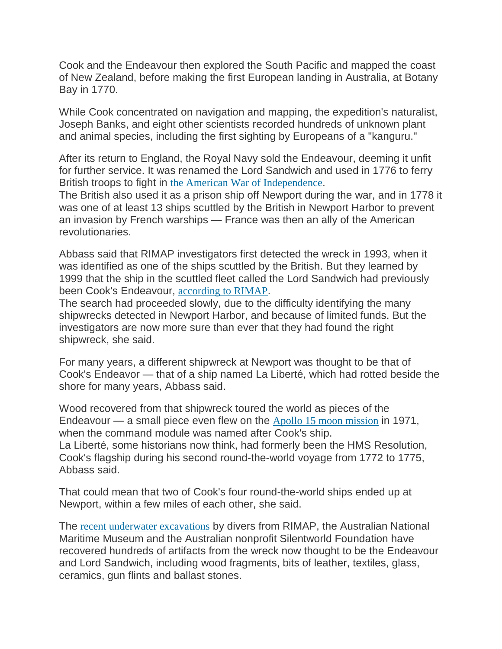Cook and the Endeavour then explored the South Pacific and mapped the coast of New Zealand, before making the first European landing in Australia, at Botany Bay in 1770.

While Cook concentrated on navigation and mapping, the expedition's naturalist, Joseph Banks, and eight other scientists recorded hundreds of unknown plant and animal species, including the first sighting by Europeans of a "kanguru."

After its return to England, the Royal Navy sold the Endeavour, deeming it unfit for further service. It was renamed the Lord Sandwich and used in 1776 to ferry British troops to fight in [the American War of Independence](https://www.livescience.com/4995-declaration-independence-changed-world.html).

The British also used it as a prison ship off Newport during the war, and in 1778 it was one of at least 13 ships scuttled by the British in Newport Harbor to prevent an invasion by French warships — France was then an ally of the American revolutionaries.

Abbass said that RIMAP investigators first detected the wreck in 1993, when it was identified as one of the ships scuttled by the British. But they learned by 1999 that the ship in the scuttled fleet called the Lord Sandwich had previously been Cook's Endeavour, [according to RIMAP](http://www.rimap.org/programs/lord-sandwich-endeavour-newport).

The search had proceeded slowly, due to the difficulty identifying the many shipwrecks detected in Newport Harbor, and because of limited funds. But the investigators are now more sure than ever that they had found the right shipwreck, she said.

For many years, a different shipwreck at Newport was thought to be that of Cook's Endeavor — that of a ship named La Liberté, which had rotted beside the shore for many years, Abbass said.

Wood recovered from that shipwreck toured the world as pieces of the Endeavour — a small piece even flew on the [Apollo 15 moon mission](https://www.space.com/17483-apollo-15.html) in 1971, when the command module was named after Cook's ship. La Liberté, some historians now think, had formerly been the HMS Resolution, Cook's flagship during his second round-the-world voyage from 1772 to 1775, Abbass said.

That could mean that two of Cook's four round-the-world ships ended up at Newport, within a few miles of each other, she said.

The [recent underwater excavations](http://www.rimap.org/programs/5d781a8aeb866c7c8f000001) by divers from RIMAP, the Australian National Maritime Museum and the Australian nonprofit Silentworld Foundation have recovered hundreds of artifacts from the wreck now thought to be the Endeavour and Lord Sandwich, including wood fragments, bits of leather, textiles, glass, ceramics, gun flints and ballast stones.